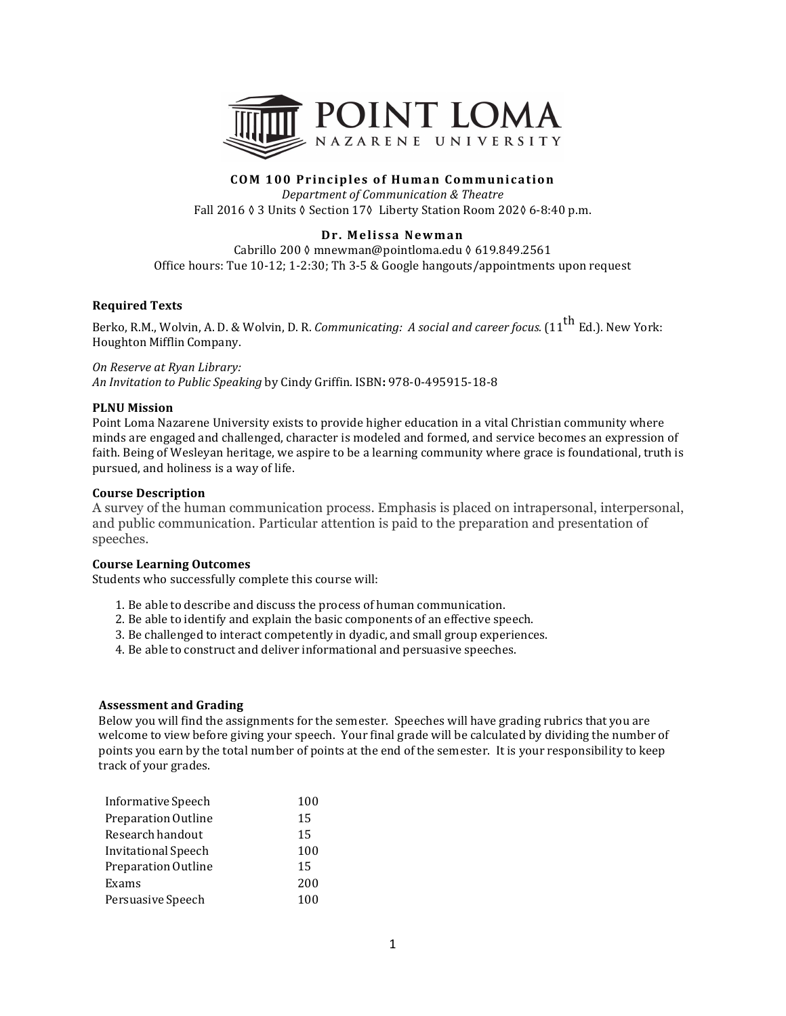

# **COM 100 Principles of Human Communication**

*Department of Communication & Theatre* Fall 2016 ♦ 3 Units ♦ Section 17♦ Liberty Station Room 202♦ 6-8:40 p.m.

## **Dr. Melissa Newman**

Cabrillo 200 ≬ mnewman@pointloma.edu § 619.849.2561 Office hours: Tue  $10-12$ ;  $1-2:30$ ; Th  $3-5$  & Google hangouts/appointments upon request

## **Required Texts**

Berko, R.M., Wolvin, A. D. & Wolvin, D. R. *Communicating: A social and career focus.* (11<sup>th</sup> Ed.). New York: Houghton Mifflin Company.

#### *On Reserve at Ryan Library:*

*An Invitation to Public Speaking* by Cindy Griffin. ISBN**:** 978-0-495915-18-8

### **PLNU** Mission

Point Loma Nazarene University exists to provide higher education in a vital Christian community where minds are engaged and challenged, character is modeled and formed, and service becomes an expression of faith. Being of Wesleyan heritage, we aspire to be a learning community where grace is foundational, truth is pursued, and holiness is a way of life.

### **Course Description**

A survey of the human communication process. Emphasis is placed on intrapersonal, interpersonal, and public communication. Particular attention is paid to the preparation and presentation of speeches.

### **Course Learning Outcomes**

Students who successfully complete this course will:

- 1. Be able to describe and discuss the process of human communication.
- 2. Be able to identify and explain the basic components of an effective speech.
- 3. Be challenged to interact competently in dyadic, and small group experiences.
- 4. Be able to construct and deliver informational and persuasive speeches.

### **Assessment and Grading**

Below you will find the assignments for the semester. Speeches will have grading rubrics that you are welcome to view before giving your speech. Your final grade will be calculated by dividing the number of points you earn by the total number of points at the end of the semester. It is your responsibility to keep track of your grades.

| Informative Speech  | 100 |
|---------------------|-----|
| Preparation Outline | 15  |
| Research handout    | 15  |
| Invitational Speech | 100 |
| Preparation Outline | 15  |
| Exams               | 200 |
| Persuasive Speech   | 100 |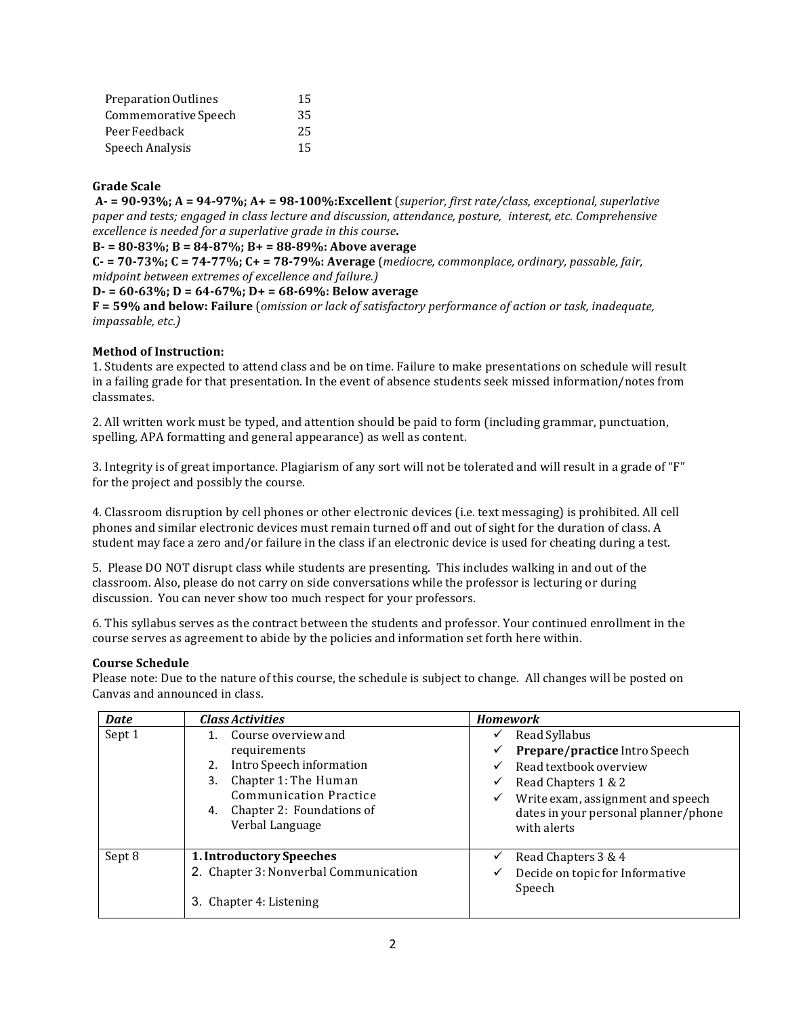| Preparation Outlines | 15 |
|----------------------|----|
| Commemorative Speech | 35 |
| Peer Feedback        | 25 |
| Speech Analysis      | 15 |

## **Grade Scale**

 $A - 90-93\%$ ;  $A = 94-97\%$ ;  $A + 98-100\%$ : Excellent (*superior, first rate/class, exceptional, superlative paper and tests; engaged in class lecture and discussion, attendance, posture, interest, etc. Comprehensive excellence is needed for a superlative grade in this course.* 

**B- = 80-83%; B = 84-87%; B+ = 88-89%: Above average**

**C- = 70-73%; C = 74-77%; C+ = 78-79%: Average** (*mediocre, commonplace, ordinary, passable, fair, midpoint between extremes of excellence and failure.)* 

### **D- = 60-63%; D = 64-67%; D+ = 68-69%: Below average**

**F = 59% and below: Failure** (*omission or lack of satisfactory performance of action or task, inadequate, impassable, etc.)*

# **Method of Instruction:**

1. Students are expected to attend class and be on time. Failure to make presentations on schedule will result in a failing grade for that presentation. In the event of absence students seek missed information/notes from classmates. 

2. All written work must be typed, and attention should be paid to form (including grammar, punctuation, spelling, APA formatting and general appearance) as well as content.

3. Integrity is of great importance. Plagiarism of any sort will not be tolerated and will result in a grade of "F" for the project and possibly the course.

4. Classroom disruption by cell phones or other electronic devices (i.e. text messaging) is prohibited. All cell phones and similar electronic devices must remain turned off and out of sight for the duration of class. A student may face a zero and/or failure in the class if an electronic device is used for cheating during a test.

5. Please DO NOT disrupt class while students are presenting. This includes walking in and out of the classroom. Also, please do not carry on side conversations while the professor is lecturing or during discussion. You can never show too much respect for your professors.

6. This syllabus serves as the contract between the students and professor. Your continued enrollment in the course serves as agreement to abide by the policies and information set forth here within.

## **Course Schedule**

Please note: Due to the nature of this course, the schedule is subject to change. All changes will be posted on Canvas and announced in class.

| <b>Date</b> | <b>Class Activities</b>                                                                                                                                                             | <b>Homework</b>                                                                                                                                                                                                      |
|-------------|-------------------------------------------------------------------------------------------------------------------------------------------------------------------------------------|----------------------------------------------------------------------------------------------------------------------------------------------------------------------------------------------------------------------|
| Sept 1      | 1. Course overview and<br>requirements<br>Intro Speech information<br>2.<br>Chapter 1: The Human<br>3.<br>Communication Practice<br>4. Chapter 2: Foundations of<br>Verbal Language | Read Syllabus<br>✓<br>Prepare/practice Intro Speech<br>✓<br>Read textbook overview<br>✓<br>Read Chapters 1 & 2<br>✓<br>Write exam, assignment and speech<br>✓<br>dates in your personal planner/phone<br>with alerts |
| Sept 8      | 1. Introductory Speeches<br>2. Chapter 3: Nonverbal Communication<br>3. Chapter 4: Listening                                                                                        | Read Chapters 3 & 4<br>✓<br>Decide on topic for Informative<br>✓<br>Speech                                                                                                                                           |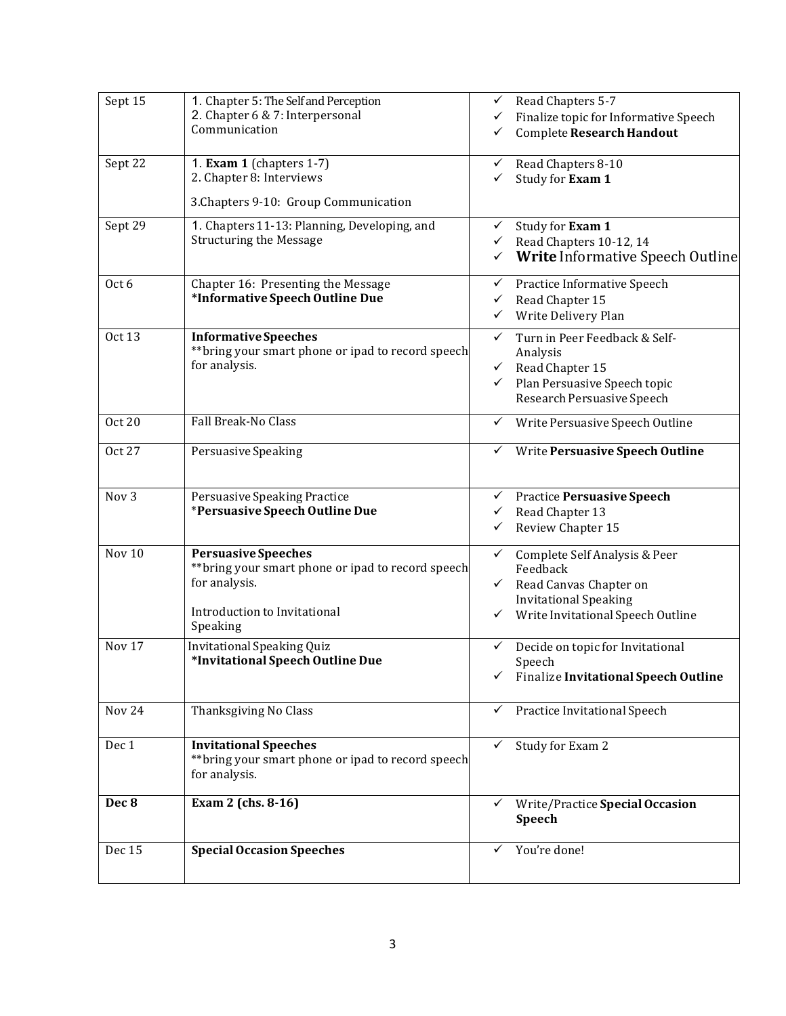| Sept 15          | 1. Chapter 5: The Self and Perception<br>2. Chapter 6 & 7: Interpersonal<br>Communication                                                     | Read Chapters 5-7<br>✓<br>Finalize topic for Informative Speech<br>✓<br>Complete Research Handout<br>✓                                                                        |
|------------------|-----------------------------------------------------------------------------------------------------------------------------------------------|-------------------------------------------------------------------------------------------------------------------------------------------------------------------------------|
| Sept 22          | 1. Exam 1 (chapters $1-7$ )<br>2. Chapter 8: Interviews<br>3. Chapters 9-10: Group Communication                                              | Read Chapters 8-10<br>✓<br>Study for Exam 1<br>✓                                                                                                                              |
| Sept 29          | 1. Chapters 11-13: Planning, Developing, and<br><b>Structuring the Message</b>                                                                | Study for Exam 1<br>✓<br>Read Chapters 10-12, 14<br>$\checkmark$<br>Write Informative Speech Outline<br>✓                                                                     |
| Oct 6            | Chapter 16: Presenting the Message<br>*Informative Speech Outline Due                                                                         | Practice Informative Speech<br>✓<br>Read Chapter 15<br>✓<br>Write Delivery Plan<br>✓                                                                                          |
| <b>Oct 13</b>    | <b>Informative Speeches</b><br>** bring your smart phone or ipad to record speech<br>for analysis.                                            | Turn in Peer Feedback & Self-<br>$\checkmark$<br>Analysis<br>Read Chapter 15<br>$\checkmark$<br>$\checkmark$<br>Plan Persuasive Speech topic<br>Research Persuasive Speech    |
| <b>Oct 20</b>    | Fall Break-No Class                                                                                                                           | Write Persuasive Speech Outline<br>✓                                                                                                                                          |
| Oct 27           | Persuasive Speaking                                                                                                                           | Write Persuasive Speech Outline<br>✓                                                                                                                                          |
| Nov <sub>3</sub> | Persuasive Speaking Practice<br>*Persuasive Speech Outline Due                                                                                | <b>Practice Persuasive Speech</b><br>✓<br>Read Chapter 13<br>✓<br>Review Chapter 15<br>✓                                                                                      |
| Nov 10           | <b>Persuasive Speeches</b><br>** bring your smart phone or ipad to record speech<br>for analysis.<br>Introduction to Invitational<br>Speaking | $\checkmark$<br>Complete Self Analysis & Peer<br>Feedback<br>Read Canvas Chapter on<br>$\checkmark$<br><b>Invitational Speaking</b><br>Write Invitational Speech Outline<br>✓ |
| Nov 17           | Invitational Speaking Quiz<br>*Invitational Speech Outline Due                                                                                | ✓<br>Decide on topic for Invitational<br>Speech<br>Finalize Invitational Speech Outline<br>✓                                                                                  |
| Nov 24           | Thanksgiving No Class                                                                                                                         | Practice Invitational Speech<br>$\checkmark$                                                                                                                                  |
| Dec 1            | <b>Invitational Speeches</b><br>** bring your smart phone or ipad to record speech<br>for analysis.                                           | Study for Exam 2<br>✓                                                                                                                                                         |
| Dec 8            | Exam 2 (chs. 8-16)                                                                                                                            | Write/Practice Special Occasion<br>✓<br>Speech                                                                                                                                |
| Dec 15           | <b>Special Occasion Speeches</b>                                                                                                              | You're done!<br>✓                                                                                                                                                             |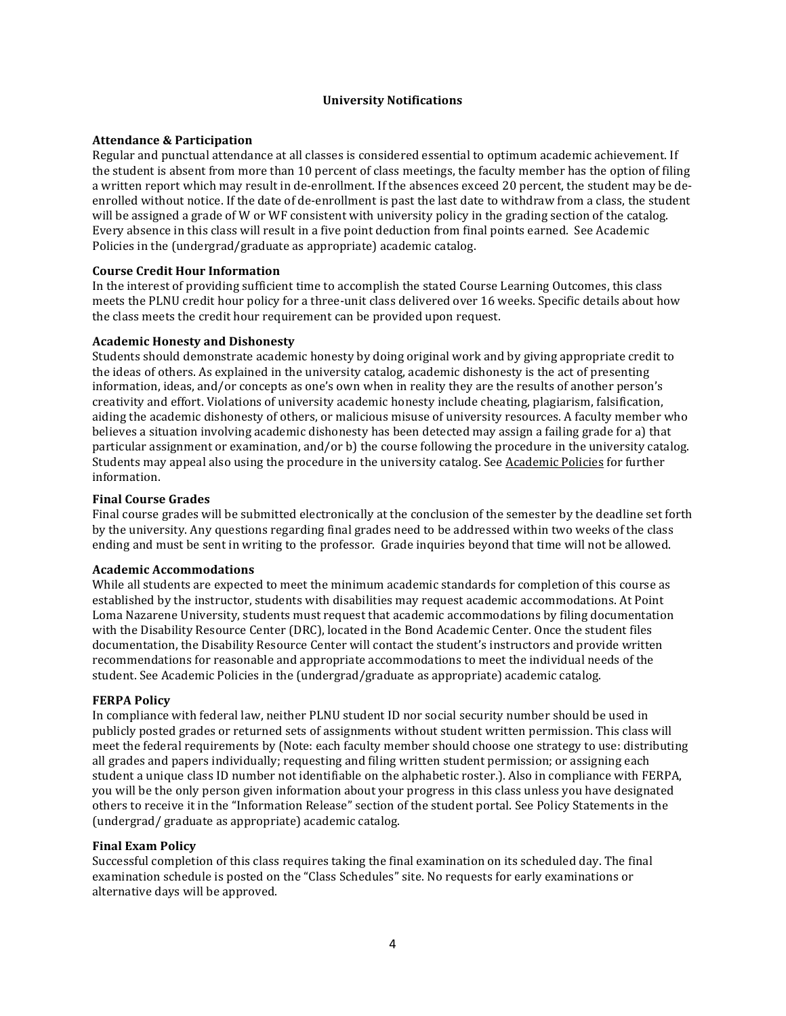## **University Notifications**

### **Attendance & Participation**

Regular and punctual attendance at all classes is considered essential to optimum academic achievement. If the student is absent from more than 10 percent of class meetings, the faculty member has the option of filing a written report which may result in de-enrollment. If the absences exceed 20 percent, the student may be deenrolled without notice. If the date of de-enrollment is past the last date to withdraw from a class, the student will be assigned a grade of W or WF consistent with university policy in the grading section of the catalog. Every absence in this class will result in a five point deduction from final points earned. See Academic Policies in the (undergrad/graduate as appropriate) academic catalog.

### **Course Credit Hour Information**

In the interest of providing sufficient time to accomplish the stated Course Learning Outcomes, this class meets the PLNU credit hour policy for a three-unit class delivered over 16 weeks. Specific details about how the class meets the credit hour requirement can be provided upon request.

#### **Academic Honesty and Dishonesty**

Students should demonstrate academic honesty by doing original work and by giving appropriate credit to the ideas of others. As explained in the university catalog, academic dishonesty is the act of presenting information, ideas, and/or concepts as one's own when in reality they are the results of another person's creativity and effort. Violations of university academic honesty include cheating, plagiarism, falsification, aiding the academic dishonesty of others, or malicious misuse of university resources. A faculty member who believes a situation involving academic dishonesty has been detected may assign a failing grade for a) that particular assignment or examination, and/or b) the course following the procedure in the university catalog. Students may appeal also using the procedure in the university catalog. See Academic Policies for further information.

### **Final Course Grades**

Final course grades will be submitted electronically at the conclusion of the semester by the deadline set forth by the university. Any questions regarding final grades need to be addressed within two weeks of the class ending and must be sent in writing to the professor. Grade inquiries beyond that time will not be allowed.

### **Academic Accommodations**

While all students are expected to meet the minimum academic standards for completion of this course as established by the instructor, students with disabilities may request academic accommodations. At Point Loma Nazarene University, students must request that academic accommodations by filing documentation with the Disability Resource Center (DRC), located in the Bond Academic Center. Once the student files documentation, the Disability Resource Center will contact the student's instructors and provide written recommendations for reasonable and appropriate accommodations to meet the individual needs of the student. See Academic Policies in the (undergrad/graduate as appropriate) academic catalog.

#### **FERPA Policy**

In compliance with federal law, neither PLNU student ID nor social security number should be used in publicly posted grades or returned sets of assignments without student written permission. This class will meet the federal requirements by (Note: each faculty member should choose one strategy to use: distributing all grades and papers individually; requesting and filing written student permission; or assigning each student a unique class ID number not identifiable on the alphabetic roster.). Also in compliance with FERPA, you will be the only person given information about your progress in this class unless you have designated others to receive it in the "Information Release" section of the student portal. See Policy Statements in the (undergrad/ graduate as appropriate) academic catalog.

### **Final Exam Policy**

Successful completion of this class requires taking the final examination on its scheduled day. The final examination schedule is posted on the "Class Schedules" site. No requests for early examinations or alternative days will be approved.